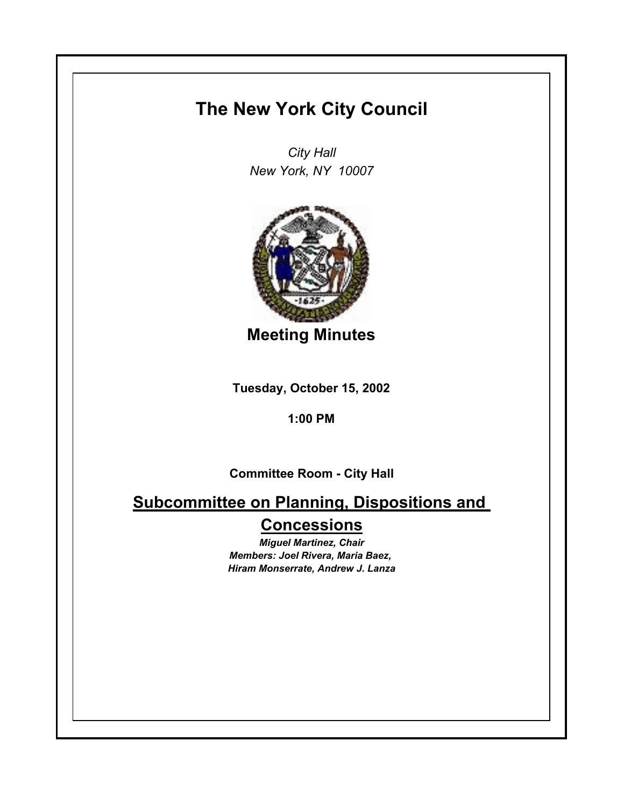## **The New York City Council**

*City Hall New York, NY 10007*



**Meeting Minutes**

**Tuesday, October 15, 2002**

**1:00 PM**

**Committee Room - City Hall**

**Subcommittee on Planning, Dispositions and Concessions**

> *Miguel Martinez, Chair Members: Joel Rivera, Maria Baez, Hiram Monserrate, Andrew J. Lanza*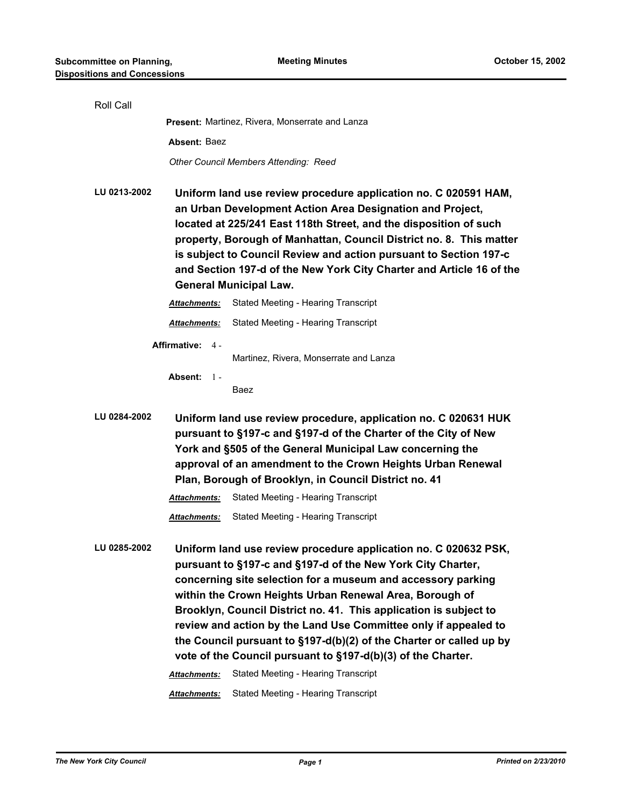| Roll Call                                                                                                                                                                                                                                                                                                                               |                                                                                                                                                                                                                                                                                                                                                                                                                                                        |                                                                                                                                                                                                                                                                                                                                                                                                                                                                                                                                          |  |  |
|-----------------------------------------------------------------------------------------------------------------------------------------------------------------------------------------------------------------------------------------------------------------------------------------------------------------------------------------|--------------------------------------------------------------------------------------------------------------------------------------------------------------------------------------------------------------------------------------------------------------------------------------------------------------------------------------------------------------------------------------------------------------------------------------------------------|------------------------------------------------------------------------------------------------------------------------------------------------------------------------------------------------------------------------------------------------------------------------------------------------------------------------------------------------------------------------------------------------------------------------------------------------------------------------------------------------------------------------------------------|--|--|
|                                                                                                                                                                                                                                                                                                                                         |                                                                                                                                                                                                                                                                                                                                                                                                                                                        | Present: Martinez, Rivera, Monserrate and Lanza                                                                                                                                                                                                                                                                                                                                                                                                                                                                                          |  |  |
|                                                                                                                                                                                                                                                                                                                                         | Absent: Baez                                                                                                                                                                                                                                                                                                                                                                                                                                           |                                                                                                                                                                                                                                                                                                                                                                                                                                                                                                                                          |  |  |
|                                                                                                                                                                                                                                                                                                                                         |                                                                                                                                                                                                                                                                                                                                                                                                                                                        | Other Council Members Attending: Reed                                                                                                                                                                                                                                                                                                                                                                                                                                                                                                    |  |  |
| LU 0213-2002                                                                                                                                                                                                                                                                                                                            | Uniform land use review procedure application no. C 020591 HAM,<br>an Urban Development Action Area Designation and Project,<br>located at 225/241 East 118th Street, and the disposition of such<br>property, Borough of Manhattan, Council District no. 8. This matter<br>is subject to Council Review and action pursuant to Section 197-c<br>and Section 197-d of the New York City Charter and Article 16 of the<br><b>General Municipal Law.</b> |                                                                                                                                                                                                                                                                                                                                                                                                                                                                                                                                          |  |  |
|                                                                                                                                                                                                                                                                                                                                         | <b>Attachments:</b>                                                                                                                                                                                                                                                                                                                                                                                                                                    | Stated Meeting - Hearing Transcript                                                                                                                                                                                                                                                                                                                                                                                                                                                                                                      |  |  |
|                                                                                                                                                                                                                                                                                                                                         | Attachments:                                                                                                                                                                                                                                                                                                                                                                                                                                           | Stated Meeting - Hearing Transcript                                                                                                                                                                                                                                                                                                                                                                                                                                                                                                      |  |  |
|                                                                                                                                                                                                                                                                                                                                         | Affirmative: 4 -<br>Absent:<br>$1 -$                                                                                                                                                                                                                                                                                                                                                                                                                   | Martinez, Rivera, Monserrate and Lanza<br>Baez                                                                                                                                                                                                                                                                                                                                                                                                                                                                                           |  |  |
| LU 0284-2002<br>Uniform land use review procedure, application no. C 020631 HUK<br>pursuant to §197-c and §197-d of the Charter of the City of New<br>York and §505 of the General Municipal Law concerning the<br>approval of an amendment to the Crown Heights Urban Renewal<br>Plan, Borough of Brooklyn, in Council District no. 41 |                                                                                                                                                                                                                                                                                                                                                                                                                                                        |                                                                                                                                                                                                                                                                                                                                                                                                                                                                                                                                          |  |  |
|                                                                                                                                                                                                                                                                                                                                         | <b>Attachments:</b>                                                                                                                                                                                                                                                                                                                                                                                                                                    | Stated Meeting - Hearing Transcript                                                                                                                                                                                                                                                                                                                                                                                                                                                                                                      |  |  |
|                                                                                                                                                                                                                                                                                                                                         | <b>Attachments:</b>                                                                                                                                                                                                                                                                                                                                                                                                                                    | Stated Meeting - Hearing Transcript                                                                                                                                                                                                                                                                                                                                                                                                                                                                                                      |  |  |
| LU 0285-2002                                                                                                                                                                                                                                                                                                                            |                                                                                                                                                                                                                                                                                                                                                                                                                                                        | Uniform land use review procedure application no. C 020632 PSK,<br>pursuant to §197-c and §197-d of the New York City Charter,<br>concerning site selection for a museum and accessory parking<br>within the Crown Heights Urban Renewal Area, Borough of<br>Brooklyn, Council District no. 41. This application is subject to<br>review and action by the Land Use Committee only if appealed to<br>the Council pursuant to §197-d(b)(2) of the Charter or called up by<br>vote of the Council pursuant to §197-d(b)(3) of the Charter. |  |  |
|                                                                                                                                                                                                                                                                                                                                         | Attachments:                                                                                                                                                                                                                                                                                                                                                                                                                                           | Stated Meeting - Hearing Transcript                                                                                                                                                                                                                                                                                                                                                                                                                                                                                                      |  |  |
|                                                                                                                                                                                                                                                                                                                                         | Attachments:                                                                                                                                                                                                                                                                                                                                                                                                                                           | Stated Meeting - Hearing Transcript                                                                                                                                                                                                                                                                                                                                                                                                                                                                                                      |  |  |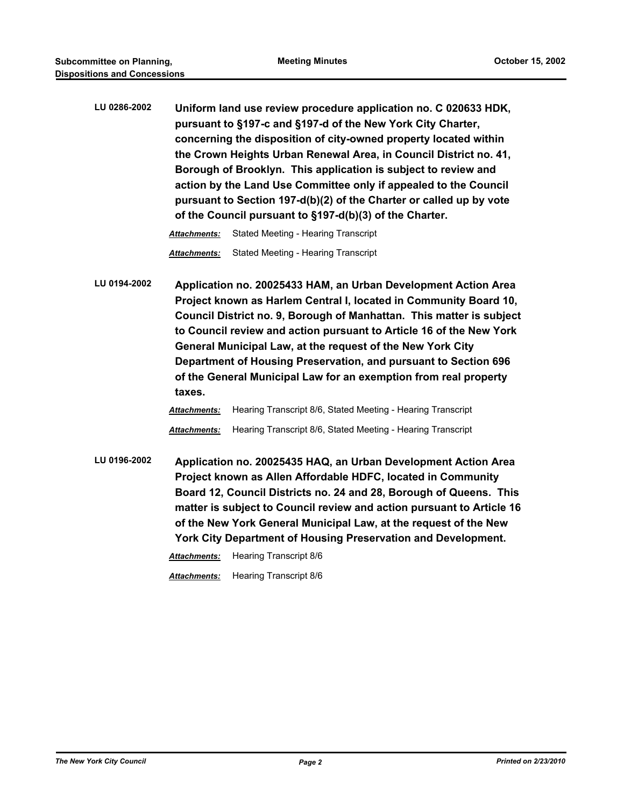**LU 0286-2002 Uniform land use review procedure application no. C 020633 HDK, pursuant to §197-c and §197-d of the New York City Charter, concerning the disposition of city-owned property located within the Crown Heights Urban Renewal Area, in Council District no. 41, Borough of Brooklyn. This application is subject to review and action by the Land Use Committee only if appealed to the Council pursuant to Section 197-d(b)(2) of the Charter or called up by vote of the Council pursuant to §197-d(b)(3) of the Charter.**

*Attachments:* Stated Meeting - Hearing Transcript

*Attachments:* Stated Meeting - Hearing Transcript

**LU 0194-2002 Application no. 20025433 HAM, an Urban Development Action Area Project known as Harlem Central I, located in Community Board 10, Council District no. 9, Borough of Manhattan. This matter is subject to Council review and action pursuant to Article 16 of the New York General Municipal Law, at the request of the New York City Department of Housing Preservation, and pursuant to Section 696 of the General Municipal Law for an exemption from real property taxes.**

## *Attachments:* Hearing Transcript 8/6, Stated Meeting - Hearing Transcript *Attachments:* Hearing Transcript 8/6, Stated Meeting - Hearing Transcript

**LU 0196-2002 Application no. 20025435 HAQ, an Urban Development Action Area Project known as Allen Affordable HDFC, located in Community Board 12, Council Districts no. 24 and 28, Borough of Queens. This matter is subject to Council review and action pursuant to Article 16 of the New York General Municipal Law, at the request of the New York City Department of Housing Preservation and Development.**

*Attachments:* Hearing Transcript 8/6

*Attachments:* Hearing Transcript 8/6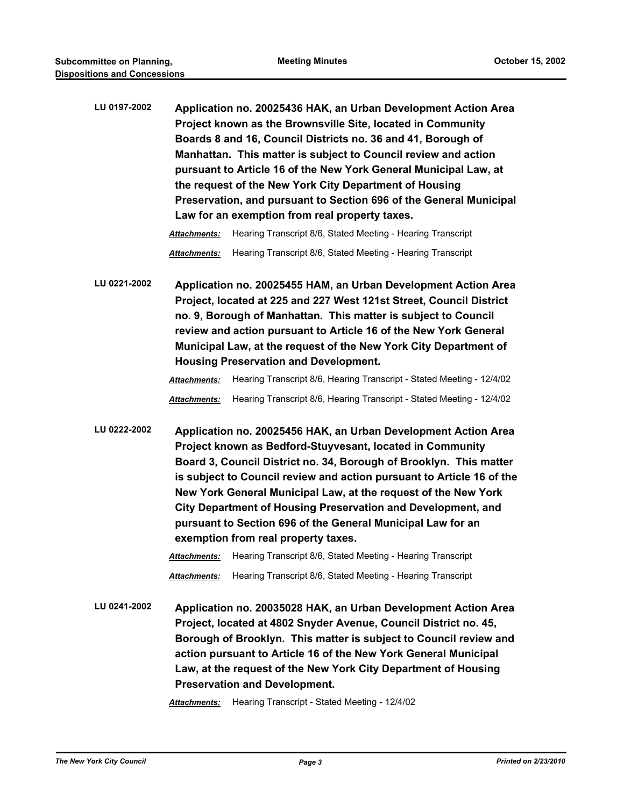**LU 0197-2002 Application no. 20025436 HAK, an Urban Development Action Area Project known as the Brownsville Site, located in Community Boards 8 and 16, Council Districts no. 36 and 41, Borough of Manhattan. This matter is subject to Council review and action pursuant to Article 16 of the New York General Municipal Law, at the request of the New York City Department of Housing Preservation, and pursuant to Section 696 of the General Municipal Law for an exemption from real property taxes.**

*Attachments:* Hearing Transcript 8/6, Stated Meeting - Hearing Transcript

*Attachments:* Hearing Transcript 8/6, Stated Meeting - Hearing Transcript

**LU 0221-2002 Application no. 20025455 HAM, an Urban Development Action Area Project, located at 225 and 227 West 121st Street, Council District no. 9, Borough of Manhattan. This matter is subject to Council review and action pursuant to Article 16 of the New York General Municipal Law, at the request of the New York City Department of Housing Preservation and Development.**

> *Attachments:* Hearing Transcript 8/6, Hearing Transcript - Stated Meeting - 12/4/02 *Attachments:* Hearing Transcript 8/6, Hearing Transcript - Stated Meeting - 12/4/02

**LU 0222-2002 Application no. 20025456 HAK, an Urban Development Action Area Project known as Bedford-Stuyvesant, located in Community Board 3, Council District no. 34, Borough of Brooklyn. This matter is subject to Council review and action pursuant to Article 16 of the New York General Municipal Law, at the request of the New York City Department of Housing Preservation and Development, and pursuant to Section 696 of the General Municipal Law for an exemption from real property taxes.**

> *Attachments:* Hearing Transcript 8/6, Stated Meeting - Hearing Transcript *Attachments:* Hearing Transcript 8/6, Stated Meeting - Hearing Transcript

**LU 0241-2002 Application no. 20035028 HAK, an Urban Development Action Area Project, located at 4802 Snyder Avenue, Council District no. 45, Borough of Brooklyn. This matter is subject to Council review and action pursuant to Article 16 of the New York General Municipal Law, at the request of the New York City Department of Housing Preservation and Development.**

*Attachments:* Hearing Transcript - Stated Meeting - 12/4/02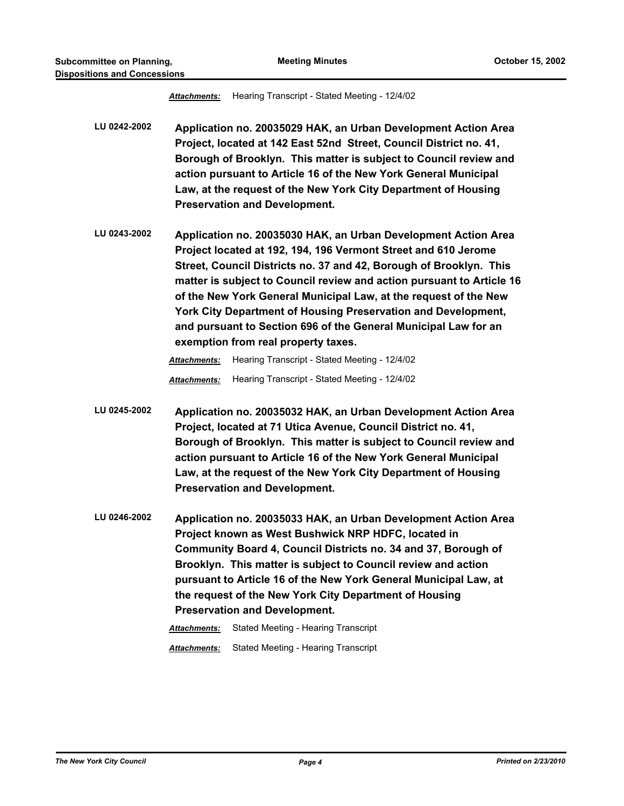*Attachments:* Hearing Transcript - Stated Meeting - 12/4/02 **LU 0242-2002 Application no. 20035029 HAK, an Urban Development Action Area Project, located at 142 East 52nd Street, Council District no. 41, Borough of Brooklyn. This matter is subject to Council review and action pursuant to Article 16 of the New York General Municipal Law, at the request of the New York City Department of Housing Preservation and Development. LU 0243-2002 Application no. 20035030 HAK, an Urban Development Action Area Project located at 192, 194, 196 Vermont Street and 610 Jerome Street, Council Districts no. 37 and 42, Borough of Brooklyn. This matter is subject to Council review and action pursuant to Article 16 of the New York General Municipal Law, at the request of the New York City Department of Housing Preservation and Development, and pursuant to Section 696 of the General Municipal Law for an exemption from real property taxes.** *Attachments:* Hearing Transcript - Stated Meeting - 12/4/02 *Attachments:* Hearing Transcript - Stated Meeting - 12/4/02 **LU 0245-2002 Application no. 20035032 HAK, an Urban Development Action Area Project, located at 71 Utica Avenue, Council District no. 41, Borough of Brooklyn. This matter is subject to Council review and action pursuant to Article 16 of the New York General Municipal Law, at the request of the New York City Department of Housing Preservation and Development. LU 0246-2002 Application no. 20035033 HAK, an Urban Development Action Area Project known as West Bushwick NRP HDFC, located in Community Board 4, Council Districts no. 34 and 37, Borough of Brooklyn. This matter is subject to Council review and action pursuant to Article 16 of the New York General Municipal Law, at the request of the New York City Department of Housing Preservation and Development.** *Attachments:* Stated Meeting - Hearing Transcript

*Attachments:* Stated Meeting - Hearing Transcript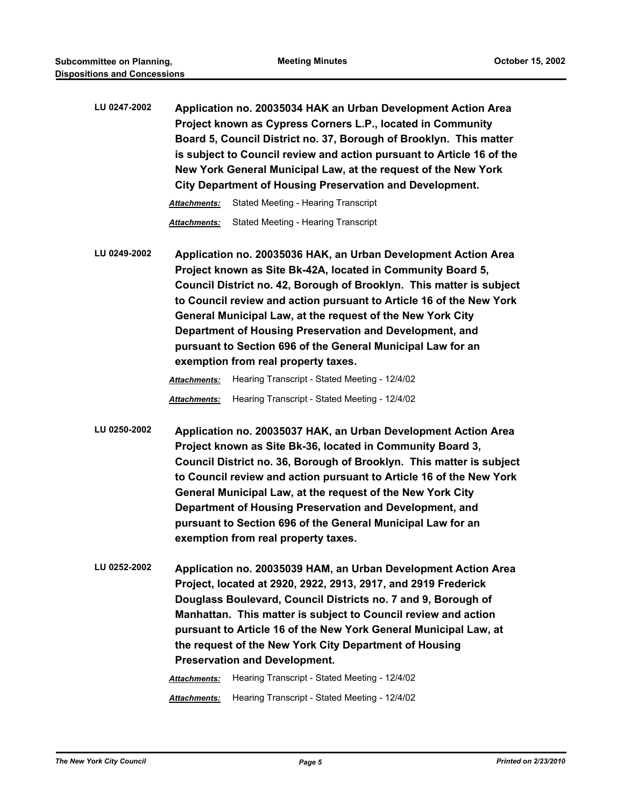**LU 0247-2002 Application no. 20035034 HAK an Urban Development Action Area Project known as Cypress Corners L.P., located in Community Board 5, Council District no. 37, Borough of Brooklyn. This matter is subject to Council review and action pursuant to Article 16 of the New York General Municipal Law, at the request of the New York City Department of Housing Preservation and Development.**

*Attachments:* Stated Meeting - Hearing Transcript

*Attachments:* Stated Meeting - Hearing Transcript

**LU 0249-2002 Application no. 20035036 HAK, an Urban Development Action Area Project known as Site Bk-42A, located in Community Board 5, Council District no. 42, Borough of Brooklyn. This matter is subject to Council review and action pursuant to Article 16 of the New York General Municipal Law, at the request of the New York City Department of Housing Preservation and Development, and pursuant to Section 696 of the General Municipal Law for an exemption from real property taxes.**

*Attachments:* Hearing Transcript - Stated Meeting - 12/4/02

*Attachments:* Hearing Transcript - Stated Meeting - 12/4/02

- **LU 0250-2002 Application no. 20035037 HAK, an Urban Development Action Area Project known as Site Bk-36, located in Community Board 3, Council District no. 36, Borough of Brooklyn. This matter is subject to Council review and action pursuant to Article 16 of the New York General Municipal Law, at the request of the New York City Department of Housing Preservation and Development, and pursuant to Section 696 of the General Municipal Law for an exemption from real property taxes.**
- **LU 0252-2002 Application no. 20035039 HAM, an Urban Development Action Area Project, located at 2920, 2922, 2913, 2917, and 2919 Frederick Douglass Boulevard, Council Districts no. 7 and 9, Borough of Manhattan. This matter is subject to Council review and action pursuant to Article 16 of the New York General Municipal Law, at the request of the New York City Department of Housing Preservation and Development.**

*Attachments:* Hearing Transcript - Stated Meeting - 12/4/02 *Attachments:* Hearing Transcript - Stated Meeting - 12/4/02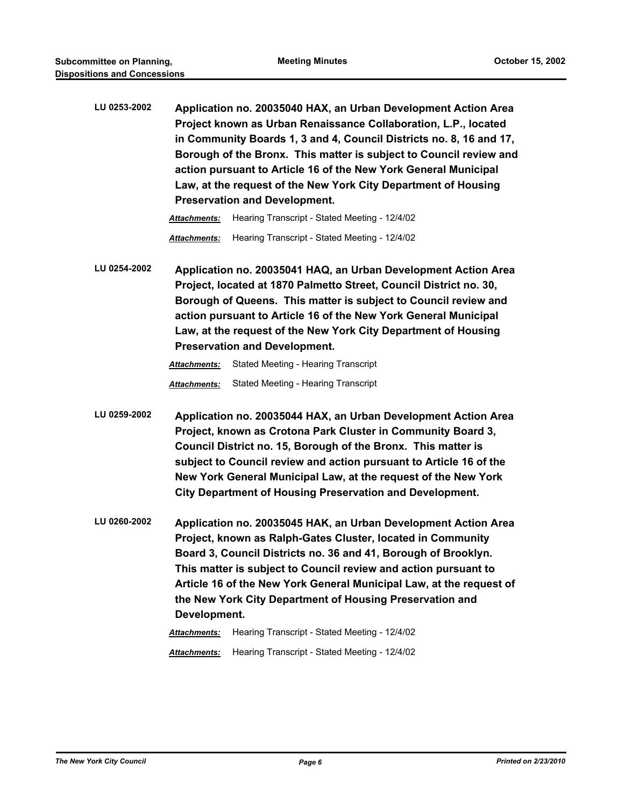**LU 0253-2002 Application no. 20035040 HAX, an Urban Development Action Area Project known as Urban Renaissance Collaboration, L.P., located in Community Boards 1, 3 and 4, Council Districts no. 8, 16 and 17, Borough of the Bronx. This matter is subject to Council review and action pursuant to Article 16 of the New York General Municipal Law, at the request of the New York City Department of Housing Preservation and Development.**

> *Attachments:* Hearing Transcript - Stated Meeting - 12/4/02 *Attachments:* Hearing Transcript - Stated Meeting - 12/4/02

**LU 0254-2002 Application no. 20035041 HAQ, an Urban Development Action Area Project, located at 1870 Palmetto Street, Council District no. 30, Borough of Queens. This matter is subject to Council review and action pursuant to Article 16 of the New York General Municipal Law, at the request of the New York City Department of Housing Preservation and Development.**

*Attachments:* Stated Meeting - Hearing Transcript

*Attachments:* Stated Meeting - Hearing Transcript

- **LU 0259-2002 Application no. 20035044 HAX, an Urban Development Action Area Project, known as Crotona Park Cluster in Community Board 3, Council District no. 15, Borough of the Bronx. This matter is subject to Council review and action pursuant to Article 16 of the New York General Municipal Law, at the request of the New York City Department of Housing Preservation and Development.**
- **LU 0260-2002 Application no. 20035045 HAK, an Urban Development Action Area Project, known as Ralph-Gates Cluster, located in Community Board 3, Council Districts no. 36 and 41, Borough of Brooklyn. This matter is subject to Council review and action pursuant to Article 16 of the New York General Municipal Law, at the request of the New York City Department of Housing Preservation and Development.**

*Attachments:* Hearing Transcript - Stated Meeting - 12/4/02 *Attachments:* Hearing Transcript - Stated Meeting - 12/4/02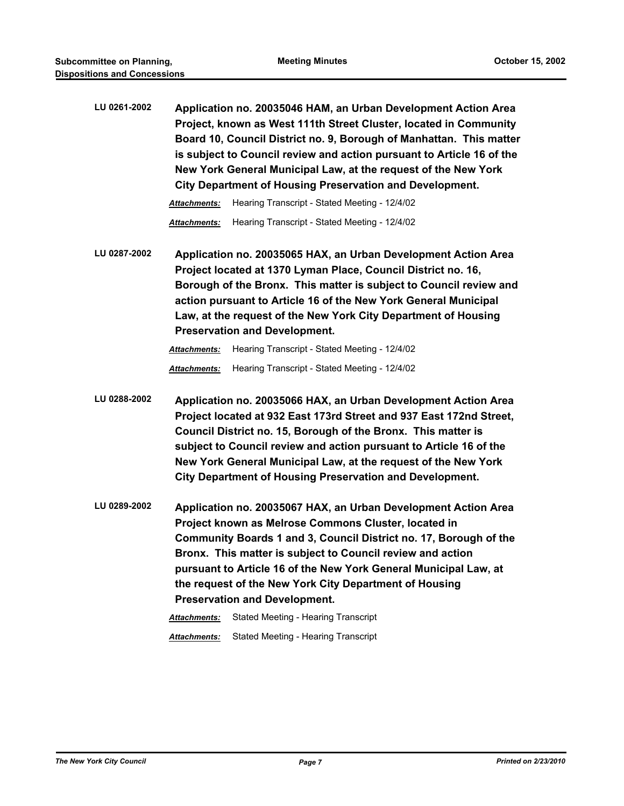| LU 0261-2002 | Application no. 20035046 HAM, an Urban Development Action Area<br>Project, known as West 111th Street Cluster, located in Community<br>Board 10, Council District no. 9, Borough of Manhattan. This matter<br>is subject to Council review and action pursuant to Article 16 of the<br>New York General Municipal Law, at the request of the New York<br>City Department of Housing Preservation and Development.               |  |  |
|--------------|---------------------------------------------------------------------------------------------------------------------------------------------------------------------------------------------------------------------------------------------------------------------------------------------------------------------------------------------------------------------------------------------------------------------------------|--|--|
|              | Hearing Transcript - Stated Meeting - 12/4/02<br>Attachments:                                                                                                                                                                                                                                                                                                                                                                   |  |  |
|              | Hearing Transcript - Stated Meeting - 12/4/02<br><b>Attachments:</b>                                                                                                                                                                                                                                                                                                                                                            |  |  |
| LU 0287-2002 | Application no. 20035065 HAX, an Urban Development Action Area<br>Project located at 1370 Lyman Place, Council District no. 16,<br>Borough of the Bronx. This matter is subject to Council review and<br>action pursuant to Article 16 of the New York General Municipal<br>Law, at the request of the New York City Department of Housing<br><b>Preservation and Development.</b>                                              |  |  |
|              | Hearing Transcript - Stated Meeting - 12/4/02<br>Attachments:                                                                                                                                                                                                                                                                                                                                                                   |  |  |
|              | Hearing Transcript - Stated Meeting - 12/4/02<br>Attachments:                                                                                                                                                                                                                                                                                                                                                                   |  |  |
| LU 0288-2002 | Application no. 20035066 HAX, an Urban Development Action Area<br>Project located at 932 East 173rd Street and 937 East 172nd Street,<br>Council District no. 15, Borough of the Bronx. This matter is<br>subject to Council review and action pursuant to Article 16 of the<br>New York General Municipal Law, at the request of the New York<br><b>City Department of Housing Preservation and Development.</b>               |  |  |
| LU 0289-2002 | Application no. 20035067 HAX, an Urban Development Action Area<br>Project known as Melrose Commons Cluster, located in<br>Community Boards 1 and 3, Council District no. 17, Borough of the<br>Bronx. This matter is subject to Council review and action<br>pursuant to Article 16 of the New York General Municipal Law, at<br>the request of the New York City Department of Housing<br><b>Preservation and Development.</b> |  |  |
|              | Stated Meeting - Hearing Transcript<br>Attachments:                                                                                                                                                                                                                                                                                                                                                                             |  |  |
|              | Stated Meeting - Hearing Transcript<br>Attachments:                                                                                                                                                                                                                                                                                                                                                                             |  |  |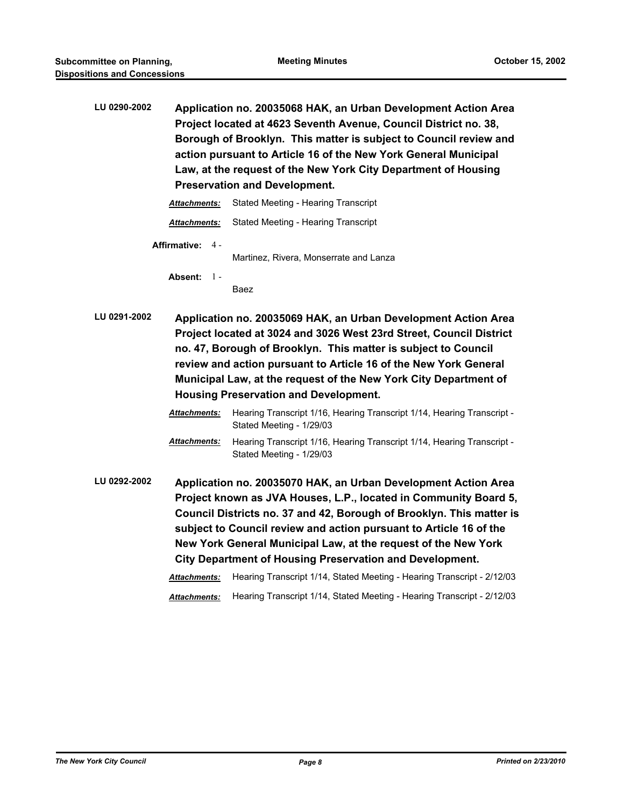**LU 0290-2002 Application no. 20035068 HAK, an Urban Development Action Area Project located at 4623 Seventh Avenue, Council District no. 38, Borough of Brooklyn. This matter is subject to Council review and action pursuant to Article 16 of the New York General Municipal Law, at the request of the New York City Department of Housing Preservation and Development.**

| Attachments:            | Stated Meeting - Hearing Transcript    |
|-------------------------|----------------------------------------|
| <b>Attachments:</b>     | Stated Meeting - Hearing Transcript    |
| <b>Affirmative:</b> 4 - | Martinez, Rivera, Monserrate and Lanza |
| Absent: $1 -$           | Raez                                   |

- **LU 0291-2002 Application no. 20035069 HAK, an Urban Development Action Area Project located at 3024 and 3026 West 23rd Street, Council District no. 47, Borough of Brooklyn. This matter is subject to Council review and action pursuant to Article 16 of the New York General Municipal Law, at the request of the New York City Department of Housing Preservation and Development.**
	- *Attachments:* Hearing Transcript 1/16, Hearing Transcript 1/14, Hearing Transcript Stated Meeting - 1/29/03 *Attachments:* Hearing Transcript 1/16, Hearing Transcript 1/14, Hearing Transcript - Stated Meeting - 1/29/03
- **LU 0292-2002 Application no. 20035070 HAK, an Urban Development Action Area Project known as JVA Houses, L.P., located in Community Board 5, Council Districts no. 37 and 42, Borough of Brooklyn. This matter is subject to Council review and action pursuant to Article 16 of the New York General Municipal Law, at the request of the New York City Department of Housing Preservation and Development.**

*Attachments:* Hearing Transcript 1/14, Stated Meeting - Hearing Transcript - 2/12/03

*Attachments:* Hearing Transcript 1/14, Stated Meeting - Hearing Transcript - 2/12/03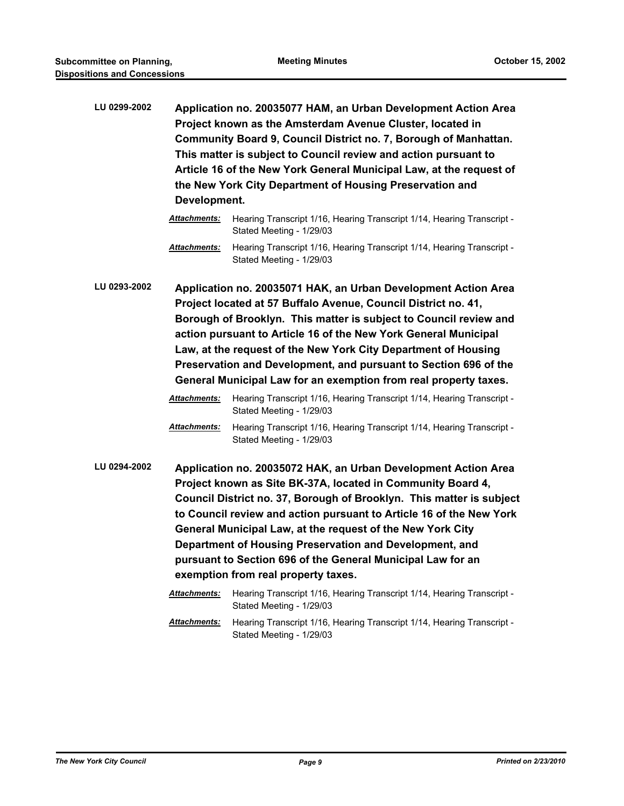**LU 0299-2002 Application no. 20035077 HAM, an Urban Development Action Area Project known as the Amsterdam Avenue Cluster, located in Community Board 9, Council District no. 7, Borough of Manhattan. This matter is subject to Council review and action pursuant to Article 16 of the New York General Municipal Law, at the request of the New York City Department of Housing Preservation and Development.**

**LU 0293-2002 Application no. 20035071 HAK, an Urban Development Action Area Project located at 57 Buffalo Avenue, Council District no. 41, Borough of Brooklyn. This matter is subject to Council review and action pursuant to Article 16 of the New York General Municipal Law, at the request of the New York City Department of Housing Preservation and Development, and pursuant to Section 696 of the General Municipal Law for an exemption from real property taxes.**

> *Attachments:* Hearing Transcript 1/16, Hearing Transcript 1/14, Hearing Transcript - Stated Meeting - 1/29/03

> *Attachments:* Hearing Transcript 1/16, Hearing Transcript 1/14, Hearing Transcript - Stated Meeting - 1/29/03

- **LU 0294-2002 Application no. 20035072 HAK, an Urban Development Action Area Project known as Site BK-37A, located in Community Board 4, Council District no. 37, Borough of Brooklyn. This matter is subject to Council review and action pursuant to Article 16 of the New York General Municipal Law, at the request of the New York City Department of Housing Preservation and Development, and pursuant to Section 696 of the General Municipal Law for an exemption from real property taxes.**
	- *Attachments:* Hearing Transcript 1/16, Hearing Transcript 1/14, Hearing Transcript Stated Meeting - 1/29/03 *Attachments:* Hearing Transcript 1/16, Hearing Transcript 1/14, Hearing Transcript - Stated Meeting - 1/29/03

*Attachments:* Hearing Transcript 1/16, Hearing Transcript 1/14, Hearing Transcript - Stated Meeting - 1/29/03

*Attachments:* Hearing Transcript 1/16, Hearing Transcript 1/14, Hearing Transcript - Stated Meeting - 1/29/03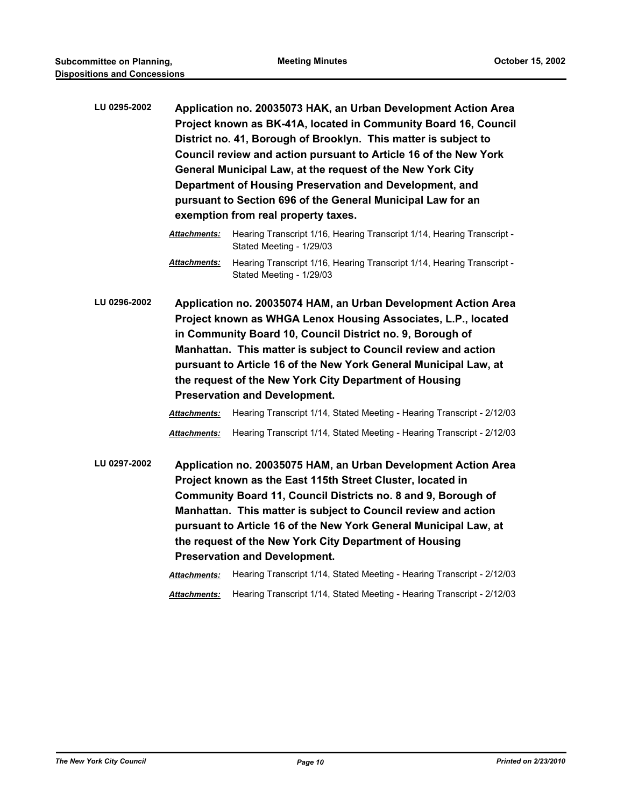- **LU 0295-2002 Application no. 20035073 HAK, an Urban Development Action Area Project known as BK-41A, located in Community Board 16, Council District no. 41, Borough of Brooklyn. This matter is subject to Council review and action pursuant to Article 16 of the New York General Municipal Law, at the request of the New York City Department of Housing Preservation and Development, and pursuant to Section 696 of the General Municipal Law for an exemption from real property taxes.**
	- *Attachments:* Hearing Transcript 1/16, Hearing Transcript 1/14, Hearing Transcript Stated Meeting - 1/29/03
	- *Attachments:* Hearing Transcript 1/16, Hearing Transcript 1/14, Hearing Transcript Stated Meeting - 1/29/03
- **LU 0296-2002 Application no. 20035074 HAM, an Urban Development Action Area Project known as WHGA Lenox Housing Associates, L.P., located in Community Board 10, Council District no. 9, Borough of Manhattan. This matter is subject to Council review and action pursuant to Article 16 of the New York General Municipal Law, at the request of the New York City Department of Housing Preservation and Development.**

| <b>Attachments:</b> | Hearing Transcript 1/14, Stated Meeting - Hearing Transcript - 2/12/03 |
|---------------------|------------------------------------------------------------------------|
| <b>Attachments:</b> | Hearing Transcript 1/14, Stated Meeting - Hearing Transcript - 2/12/03 |

**LU 0297-2002 Application no. 20035075 HAM, an Urban Development Action Area Project known as the East 115th Street Cluster, located in Community Board 11, Council Districts no. 8 and 9, Borough of Manhattan. This matter is subject to Council review and action pursuant to Article 16 of the New York General Municipal Law, at the request of the New York City Department of Housing Preservation and Development.**

```
Attachments: Hearing Transcript 1/14, Stated Meeting - Hearing Transcript - 2/12/03
```
*Attachments:* Hearing Transcript 1/14, Stated Meeting - Hearing Transcript - 2/12/03